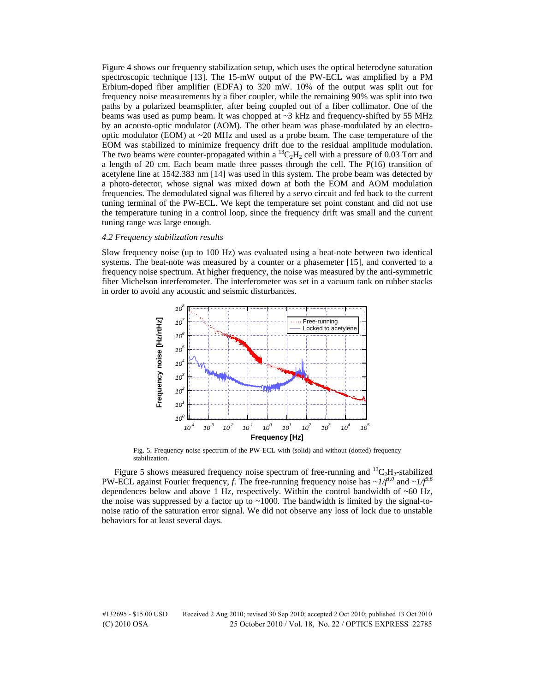Figure 4 shows our frequency stabilization setup, which uses the optical heterodyne saturation spectroscopic technique [13]. The 15-mW output of the PW-ECL was amplified by a PM Erbium-doped fiber amplifier (EDFA) to 320 mW. 10% of the output was split out for frequency noise measurements by a fiber coupler, while the remaining 90% was split into two paths by a polarized beamsplitter, after being coupled out of a fiber collimator. One of the beams was used as pump beam. It was chopped at ~3 kHz and frequency-shifted by 55 MHz by an acousto-optic modulator (AOM). The other beam was phase-modulated by an electrooptic modulator (EOM) at  $\sim$  20 MHz and used as a probe beam. The case temperature of the EOM was stabilized to minimize frequency drift due to the residual amplitude modulation. The two beams were counter-propagated within a  ${}^{13}C_2H_2$  cell with a pressure of 0.03 Torr and a length of 20 cm. Each beam made three passes through the cell. The P(16) transition of acetylene line at 1542.383 nm [14] was used in this system. The probe beam was detected by a photo-detector, whose signal was mixed down at both the EOM and AOM modulation frequencies. The demodulated signal was filtered by a servo circuit and fed back to the current tuning terminal of the PW-ECL. We kept the temperature set point constant and did not use the temperature tuning in a control loop, since the frequency drift was small and the current tuning range was large enough.

## *4.2 Frequency stabilization results*

Slow frequency noise (up to 100 Hz) was evaluated using a beat-note between two identical systems. The beat-note was measured by a counter or a phasemeter [15], and converted to a frequency noise spectrum. At higher frequency, the noise was measured by the anti-symmetric fiber Michelson interferometer. The interferometer was set in a vacuum tank on rubber stacks in order to avoid any acoustic and seismic disturbances.



Fig. 5. Frequency noise spectrum of the PW-ECL with (solid) and without (dotted) frequency stabilization.

Figure 5 shows measured frequency noise spectrum of free-running and  ${}^{13}C_2H_2$ -stabilized PW-ECL against Fourier frequency, *f*. The free-running frequency noise has  $\sim I/f^{1.0}$  and  $\sim I/f^{0.6}$ dependences below and above 1 Hz, respectively. Within the control bandwidth of  $~60$  Hz, the noise was suppressed by a factor up to  $\sim$  1000. The bandwidth is limited by the signal-tonoise ratio of the saturation error signal. We did not observe any loss of lock due to unstable behaviors for at least several days.

#132695 - \$15.00 USD Received 2 Aug 2010; revised 30 Sep 2010; accepted 2 Oct 2010; published 13 Oct 2010 (C) 2010 OSA 25 October 2010 / Vol. 18, No. 22 / OPTICS EXPRESS 22785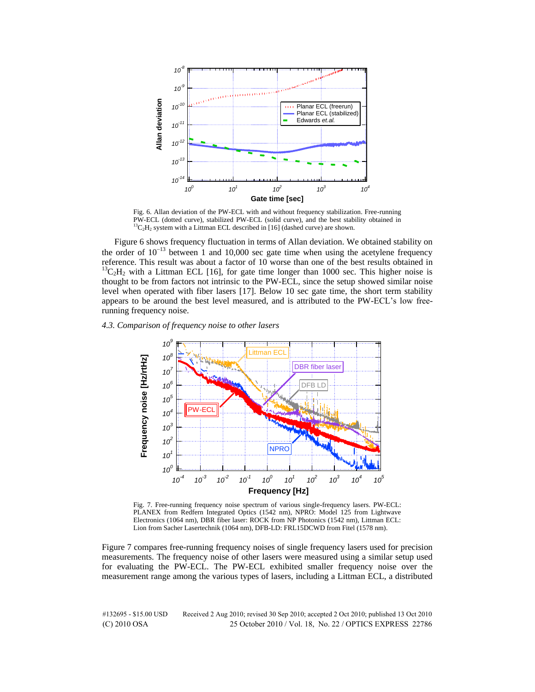

Fig. 6. Allan deviation of the PW-ECL with and without frequency stabilization. Free-running PW-ECL (dotted curve), stabilized PW-ECL (solid curve), and the best stability obtained in  ${}^{13}C_2H_2$  system with a Littman ECL described in [16] (dashed curve) are shown.

Figure 6 shows frequency fluctuation in terms of Allan deviation. We obtained stability on the order of  $10^{-13}$  between 1 and 10,000 sec gate time when using the acetylene frequency reference. This result was about a factor of 10 worse than one of the best results obtained in  $^{13}$ C<sub>2</sub>H<sub>2</sub> with a Littman ECL [16], for gate time longer than 1000 sec. This higher noise is thought to be from factors not intrinsic to the PW-ECL, since the setup showed similar noise level when operated with fiber lasers [17]. Below 10 sec gate time, the short term stability appears to be around the best level measured, and is attributed to the PW-ECL's low freerunning frequency noise.

# *4.3. Comparison of frequency noise to other lasers*



Fig. 7. Free-running frequency noise spectrum of various single-frequency lasers. PW-ECL: PLANEX from Redfern Integrated Optics (1542 nm), NPRO: Model 125 from Lightwave Electronics (1064 nm), DBR fiber laser: ROCK from NP Photonics (1542 nm), Littman ECL: Lion from Sacher Lasertechnik (1064 nm), DFB-LD: FRL15DCWD from Fitel (1578 nm).

Figure 7 compares free-running frequency noises of single frequency lasers used for precision measurements. The frequency noise of other lasers were measured using a similar setup used for evaluating the PW-ECL. The PW-ECL exhibited smaller frequency noise over the measurement range among the various types of lasers, including a Littman ECL, a distributed

#132695 - \$15.00 USD Received 2 Aug 2010; revised 30 Sep 2010; accepted 2 Oct 2010; published 13 Oct 2010 (C) 2010 OSA 25 October 2010 / Vol. 18, No. 22 / OPTICS EXPRESS 22786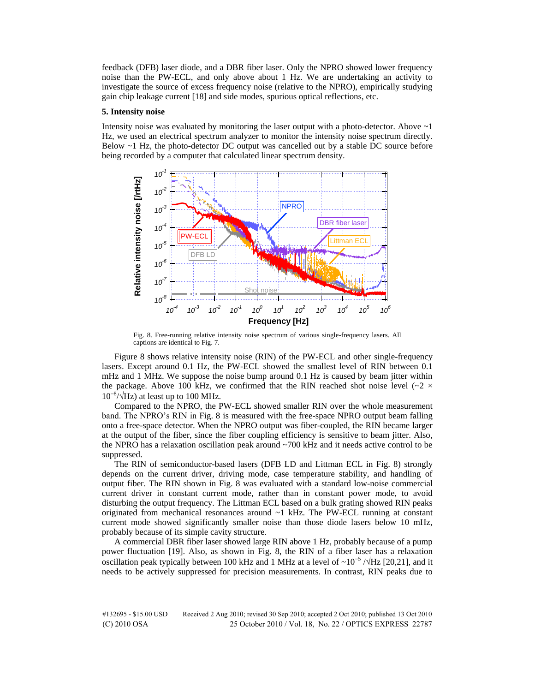feedback (DFB) laser diode, and a DBR fiber laser. Only the NPRO showed lower frequency noise than the PW-ECL, and only above about 1 Hz. We are undertaking an activity to investigate the source of excess frequency noise (relative to the NPRO), empirically studying gain chip leakage current [18] and side modes, spurious optical reflections, etc.

#### **5. Intensity noise**

Intensity noise was evaluated by monitoring the laser output with a photo-detector. Above  $\sim$  1 Hz, we used an electrical spectrum analyzer to monitor the intensity noise spectrum directly. Below ~1 Hz, the photo-detector DC output was cancelled out by a stable DC source before being recorded by a computer that calculated linear spectrum density.



Fig. 8. Free-running relative intensity noise spectrum of various single-frequency lasers. All captions are identical to Fig. 7.

Figure 8 shows relative intensity noise (RIN) of the PW-ECL and other single-frequency lasers. Except around 0.1 Hz, the PW-ECL showed the smallest level of RIN between 0.1 mHz and 1 MHz. We suppose the noise bump around 0.1 Hz is caused by beam jitter within the package. Above 100 kHz, we confirmed that the RIN reached shot noise level ( $\sim$ 2  $\times$  $10^{-8}/\sqrt{\text{Hz}}$ ) at least up to 100 MHz.

Compared to the NPRO, the PW-ECL showed smaller RIN over the whole measurement band. The NPRO's RIN in Fig. 8 is measured with the free-space NPRO output beam falling onto a free-space detector. When the NPRO output was fiber-coupled, the RIN became larger at the output of the fiber, since the fiber coupling efficiency is sensitive to beam jitter. Also, the NPRO has a relaxation oscillation peak around ~700 kHz and it needs active control to be suppressed.

The RIN of semiconductor-based lasers (DFB LD and Littman ECL in Fig. 8) strongly depends on the current driver, driving mode, case temperature stability, and handling of output fiber. The RIN shown in Fig. 8 was evaluated with a standard low-noise commercial current driver in constant current mode, rather than in constant power mode, to avoid disturbing the output frequency. The Littman ECL based on a bulk grating showed RIN peaks originated from mechanical resonances around  $\sim$ 1 kHz. The PW-ECL running at constant current mode showed significantly smaller noise than those diode lasers below 10 mHz, probably because of its simple cavity structure.

A commercial DBR fiber laser showed large RIN above 1 Hz, probably because of a pump power fluctuation [19]. Also, as shown in Fig. 8, the RIN of a fiber laser has a relaxation oscillation peak typically between 100 kHz and 1 MHz at a level of  $\sim 10^{-5}$  / $\sqrt{Hz}$  [20,21], and it needs to be actively suppressed for precision measurements. In contrast, RIN peaks due to

#132695 - \$15.00 USD Received 2 Aug 2010; revised 30 Sep 2010; accepted 2 Oct 2010; published 13 Oct 2010 (C) 2010 OSA 25 October 2010 / Vol. 18, No. 22 / OPTICS EXPRESS 22787